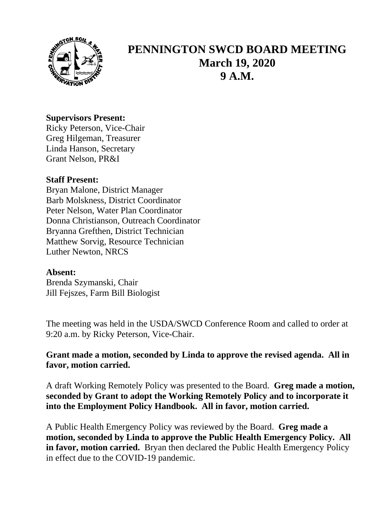

# **PENNINGTON SWCD BOARD MEETING March 19, 2020 9 A.M.**

### **Supervisors Present:**

Ricky Peterson, Vice-Chair Greg Hilgeman, Treasurer Linda Hanson, Secretary Grant Nelson, PR&I

## **Staff Present:**

Bryan Malone, District Manager Barb Molskness, District Coordinator Peter Nelson, Water Plan Coordinator Donna Christianson, Outreach Coordinator Bryanna Grefthen, District Technician Matthew Sorvig, Resource Technician Luther Newton, NRCS

## **Absent:**

Brenda Szymanski, Chair Jill Fejszes, Farm Bill Biologist

The meeting was held in the USDA/SWCD Conference Room and called to order at 9:20 a.m. by Ricky Peterson, Vice-Chair.

## **Grant made a motion, seconded by Linda to approve the revised agenda. All in favor, motion carried.**

A draft Working Remotely Policy was presented to the Board. **Greg made a motion, seconded by Grant to adopt the Working Remotely Policy and to incorporate it into the Employment Policy Handbook. All in favor, motion carried.**

A Public Health Emergency Policy was reviewed by the Board. **Greg made a motion, seconded by Linda to approve the Public Health Emergency Policy. All in favor, motion carried.** Bryan then declared the Public Health Emergency Policy in effect due to the COVID-19 pandemic.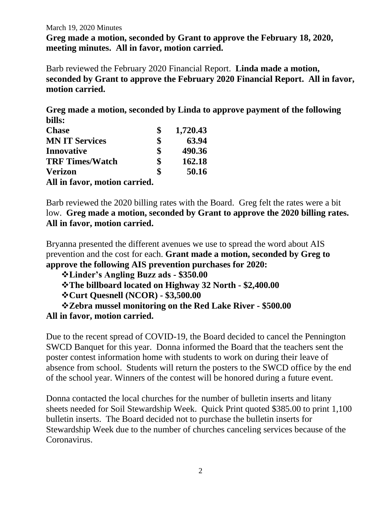#### March 19, 2020 Minutes

**Greg made a motion, seconded by Grant to approve the February 18, 2020, meeting minutes. All in favor, motion carried.**

Barb reviewed the February 2020 Financial Report. **Linda made a motion, seconded by Grant to approve the February 2020 Financial Report. All in favor, motion carried.**

**Greg made a motion, seconded by Linda to approve payment of the following bills:**

| <b>Chase</b>                  | 1,720.43     |
|-------------------------------|--------------|
| <b>MN IT Services</b>         | \$<br>63.94  |
| <b>Innovative</b>             | \$<br>490.36 |
| <b>TRF Times/Watch</b>        | \$<br>162.18 |
| <b>Verizon</b>                | \$<br>50.16  |
| All in favor, motion carried. |              |

Barb reviewed the 2020 billing rates with the Board.Greg felt the rates were a bit low. **Greg made a motion, seconded by Grant to approve the 2020 billing rates. All in favor, motion carried.**

Bryanna presented the different avenues we use to spread the word about AIS prevention and the cost for each. **Grant made a motion, seconded by Greg to approve the following AIS prevention purchases for 2020:**

❖**Linder's Angling Buzz ads - \$350.00**

❖**The billboard located on Highway 32 North - \$2,400.00**

❖**Curt Quesnell (NCOR) - \$3,500.00**

❖**Zebra mussel monitoring on the Red Lake River - \$500.00 All in favor, motion carried.**

Due to the recent spread of COVID-19, the Board decided to cancel the Pennington SWCD Banquet for this year. Donna informed the Board that the teachers sent the poster contest information home with students to work on during their leave of absence from school. Students will return the posters to the SWCD office by the end of the school year. Winners of the contest will be honored during a future event.

Donna contacted the local churches for the number of bulletin inserts and litany sheets needed for Soil Stewardship Week. Quick Print quoted \$385.00 to print 1,100 bulletin inserts. The Board decided not to purchase the bulletin inserts for Stewardship Week due to the number of churches canceling services because of the Coronavirus.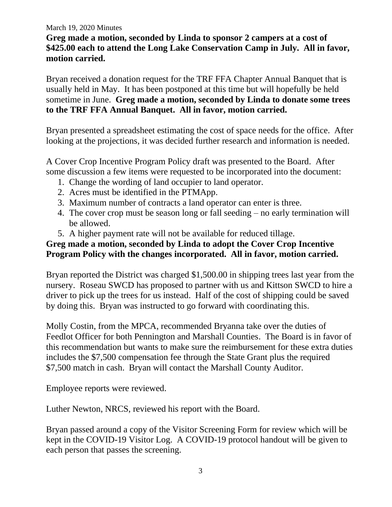#### March 19, 2020 Minutes

# **Greg made a motion, seconded by Linda to sponsor 2 campers at a cost of \$425.00 each to attend the Long Lake Conservation Camp in July. All in favor, motion carried.**

Bryan received a donation request for the TRF FFA Chapter Annual Banquet that is usually held in May. It has been postponed at this time but will hopefully be held sometime in June. **Greg made a motion, seconded by Linda to donate some trees to the TRF FFA Annual Banquet. All in favor, motion carried.**

Bryan presented a spreadsheet estimating the cost of space needs for the office. After looking at the projections, it was decided further research and information is needed.

A Cover Crop Incentive Program Policy draft was presented to the Board. After some discussion a few items were requested to be incorporated into the document:

- 1. Change the wording of land occupier to land operator.
- 2. Acres must be identified in the PTMApp.
- 3. Maximum number of contracts a land operator can enter is three.
- 4. The cover crop must be season long or fall seeding no early termination will be allowed.
- 5. A higher payment rate will not be available for reduced tillage.

# **Greg made a motion, seconded by Linda to adopt the Cover Crop Incentive Program Policy with the changes incorporated. All in favor, motion carried.**

Bryan reported the District was charged \$1,500.00 in shipping trees last year from the nursery. Roseau SWCD has proposed to partner with us and Kittson SWCD to hire a driver to pick up the trees for us instead. Half of the cost of shipping could be saved by doing this. Bryan was instructed to go forward with coordinating this.

Molly Costin, from the MPCA, recommended Bryanna take over the duties of Feedlot Officer for both Pennington and Marshall Counties. The Board is in favor of this recommendation but wants to make sure the reimbursement for these extra duties includes the \$7,500 compensation fee through the State Grant plus the required \$7,500 match in cash. Bryan will contact the Marshall County Auditor.

Employee reports were reviewed.

Luther Newton, NRCS, reviewed his report with the Board.

Bryan passed around a copy of the Visitor Screening Form for review which will be kept in the COVID-19 Visitor Log. A COVID-19 protocol handout will be given to each person that passes the screening.